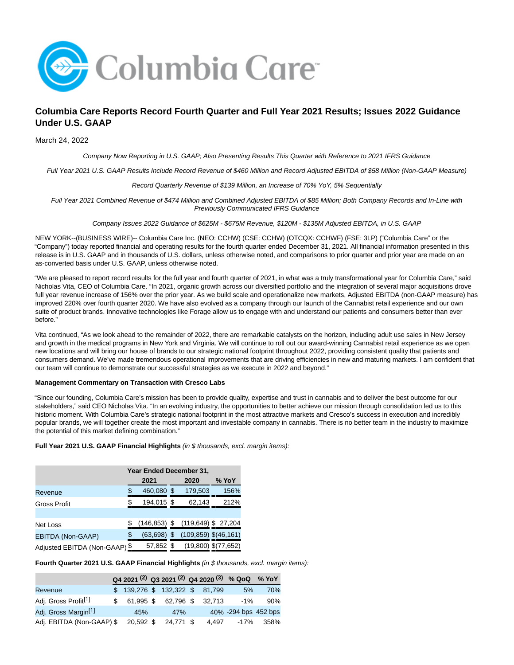

# **Columbia Care Reports Record Fourth Quarter and Full Year 2021 Results; Issues 2022 Guidance Under U.S. GAAP**

March 24, 2022

Company Now Reporting in U.S. GAAP; Also Presenting Results This Quarter with Reference to 2021 IFRS Guidance

Full Year 2021 U.S. GAAP Results Include Record Revenue of \$460 Million and Record Adjusted EBITDA of \$58 Million (Non-GAAP Measure)

Record Quarterly Revenue of \$139 Million, an Increase of 70% YoY, 5% Sequentially

Full Year 2021 Combined Revenue of \$474 Million and Combined Adjusted EBITDA of \$85 Million; Both Company Records and In-Line with Previously Communicated IFRS Guidance

Company Issues 2022 Guidance of \$625M - \$675M Revenue, \$120M - \$135M Adjusted EBITDA, in U.S. GAAP

NEW YORK--(BUSINESS WIRE)-- Columbia Care Inc. (NEO: CCHW) (CSE: CCHW) (OTCQX: CCHWF) (FSE: 3LP) ("Columbia Care" or the "Company") today reported financial and operating results for the fourth quarter ended December 31, 2021. All financial information presented in this release is in U.S. GAAP and in thousands of U.S. dollars, unless otherwise noted, and comparisons to prior quarter and prior year are made on an as-converted basis under U.S. GAAP, unless otherwise noted.

"We are pleased to report record results for the full year and fourth quarter of 2021, in what was a truly transformational year for Columbia Care," said Nicholas Vita, CEO of Columbia Care. "In 2021, organic growth across our diversified portfolio and the integration of several major acquisitions drove full year revenue increase of 156% over the prior year. As we build scale and operationalize new markets, Adjusted EBITDA (non-GAAP measure) has improved 220% over fourth quarter 2020. We have also evolved as a company through our launch of the Cannabist retail experience and our own suite of product brands. Innovative technologies like Forage allow us to engage with and understand our patients and consumers better than ever before."

Vita continued, "As we look ahead to the remainder of 2022, there are remarkable catalysts on the horizon, including adult use sales in New Jersey and growth in the medical programs in New York and Virginia. We will continue to roll out our award-winning Cannabist retail experience as we open new locations and will bring our house of brands to our strategic national footprint throughout 2022, providing consistent quality that patients and consumers demand. We've made tremendous operational improvements that are driving efficiencies in new and maturing markets. I am confident that our team will continue to demonstrate our successful strategies as we execute in 2022 and beyond."

#### **Management Commentary on Transaction with Cresco Labs**

"Since our founding, Columbia Care's mission has been to provide quality, expertise and trust in cannabis and to deliver the best outcome for our stakeholders," said CEO Nicholas Vita. "In an evolving industry, the opportunities to better achieve our mission through consolidation led us to this historic moment. With Columbia Care's strategic national footprint in the most attractive markets and Cresco's success in execution and incredibly popular brands, we will together create the most important and investable company in cannabis. There is no better team in the industry to maximize the potential of this market defining combination."

**Full Year 2021 U.S. GAAP Financial Highlights** (in \$ thousands, excl. margin items):

|                               | Year Ended December 31, |            |       |                             |                          |  |  |
|-------------------------------|-------------------------|------------|-------|-----------------------------|--------------------------|--|--|
|                               |                         | 2021       | % YoY |                             |                          |  |  |
| Revenue                       | \$                      | 460,080    | -S    | 179,503                     | 156%                     |  |  |
| <b>Gross Profit</b>           |                         | 194,015 \$ |       | 62,143                      | 212%                     |  |  |
|                               |                         |            |       |                             |                          |  |  |
| Net Loss                      |                         | (146, 853) | \$    | $(119, 649)$ \$             | 27,204                   |  |  |
| EBITDA (Non-GAAP)             | \$                      | (63, 698)  | S     | $(109, 859)$ \$ $(46, 161)$ |                          |  |  |
| Adjusted EBITDA (Non-GAAP) \$ |                         | 57,852 \$  |       |                             | $(19,800)$ \$ $(77,652)$ |  |  |

**Fourth Quarter 2021 U.S. GAAP Financial Highlights** (in \$ thousands, excl. margin items):

|                                  |                              |                            |       | Q4 2021 (2) Q3 2021 (2) Q4 2020 (3) % QoQ % YoY |      |
|----------------------------------|------------------------------|----------------------------|-------|-------------------------------------------------|------|
| Revenue                          | \$139,276 \$132,322 \$81,799 |                            |       | 5%                                              | 70%  |
| Adj. Gross Profit <sup>[1]</sup> |                              | 61.995 \$ 62.796 \$ 32.713 |       | $-1\%$                                          | 90%  |
| Adj. Gross Margin <sup>[1]</sup> | 45%                          | 47%                        |       | 40% -294 bps 452 bps                            |      |
| Adj. EBITDA (Non-GAAP) \$        | 20,592 \$                    | 24,771 \$                  | 4,497 | -17%                                            | 358% |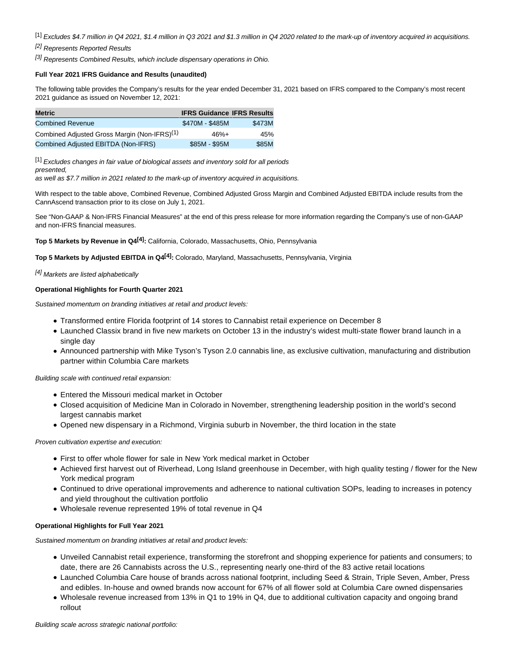[1] Excludes \$4.7 million in Q4 2021, \$1.4 million in Q3 2021 and \$1.3 million in Q4 2020 related to the mark-up of inventory acquired in acquisitions.

[2] Represents Reported Results

[3] Represents Combined Results, which include dispensary operations in Ohio.

#### **Full Year 2021 IFRS Guidance and Results (unaudited)**

The following table provides the Company's results for the year ended December 31, 2021 based on IFRS compared to the Company's most recent 2021 guidance as issued on November 12, 2021:

| Metric                                                   | <b>IFRS Guidance IFRS Results</b> |        |
|----------------------------------------------------------|-----------------------------------|--------|
| <b>Combined Revenue</b>                                  | \$470M - \$485M                   | \$473M |
| Combined Adjusted Gross Margin (Non-IFRS) <sup>(1)</sup> | $46%+$                            | 45%    |
| Combined Adjusted EBITDA (Non-IFRS)                      | \$85M - \$95M                     | \$85M  |

[1] Excludes changes in fair value of biological assets and inventory sold for all periods presented,

as well as \$7.7 million in 2021 related to the mark-up of inventory acquired in acquisitions.

With respect to the table above, Combined Revenue, Combined Adjusted Gross Margin and Combined Adjusted EBITDA include results from the CannAscend transaction prior to its close on July 1, 2021.

See "Non-GAAP & Non-IFRS Financial Measures" at the end of this press release for more information regarding the Company's use of non-GAAP and non-IFRS financial measures.

**Top 5 Markets by Revenue in Q4[4]:** California, Colorado, Massachusetts, Ohio, Pennsylvania

**Top 5 Markets by Adjusted EBITDA in Q4[4]:** Colorado, Maryland, Massachusetts, Pennsylvania, Virginia

[4] Markets are listed alphabetically

## **Operational Highlights for Fourth Quarter 2021**

Sustained momentum on branding initiatives at retail and product levels:

- Transformed entire Florida footprint of 14 stores to Cannabist retail experience on December 8
- Launched Classix brand in five new markets on October 13 in the industry's widest multi-state flower brand launch in a single day
- Announced partnership with Mike Tyson's Tyson 2.0 cannabis line, as exclusive cultivation, manufacturing and distribution partner within Columbia Care markets

Building scale with continued retail expansion:

- Entered the Missouri medical market in October
- Closed acquisition of Medicine Man in Colorado in November, strengthening leadership position in the world's second largest cannabis market
- Opened new dispensary in a Richmond, Virginia suburb in November, the third location in the state

Proven cultivation expertise and execution:

- First to offer whole flower for sale in New York medical market in October
- Achieved first harvest out of Riverhead, Long Island greenhouse in December, with high quality testing / flower for the New York medical program
- Continued to drive operational improvements and adherence to national cultivation SOPs, leading to increases in potency and yield throughout the cultivation portfolio
- Wholesale revenue represented 19% of total revenue in Q4

## **Operational Highlights for Full Year 2021**

Sustained momentum on branding initiatives at retail and product levels:

- Unveiled Cannabist retail experience, transforming the storefront and shopping experience for patients and consumers; to date, there are 26 Cannabists across the U.S., representing nearly one-third of the 83 active retail locations
- Launched Columbia Care house of brands across national footprint, including Seed & Strain, Triple Seven, Amber, Press and edibles. In-house and owned brands now account for 67% of all flower sold at Columbia Care owned dispensaries
- Wholesale revenue increased from 13% in Q1 to 19% in Q4, due to additional cultivation capacity and ongoing brand rollout

Building scale across strategic national portfolio: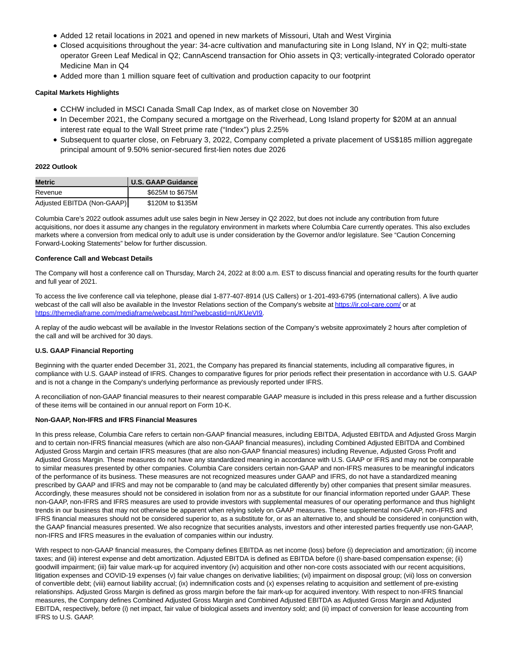- Added 12 retail locations in 2021 and opened in new markets of Missouri, Utah and West Virginia
- Closed acquisitions throughout the year: 34-acre cultivation and manufacturing site in Long Island, NY in Q2; multi-state operator Green Leaf Medical in Q2; CannAscend transaction for Ohio assets in Q3; vertically-integrated Colorado operator Medicine Man in Q4
- Added more than 1 million square feet of cultivation and production capacity to our footprint

## **Capital Markets Highlights**

- CCHW included in MSCI Canada Small Cap Index, as of market close on November 30
- In December 2021, the Company secured a mortgage on the Riverhead, Long Island property for \$20M at an annual interest rate equal to the Wall Street prime rate ("Index") plus 2.25%
- Subsequent to quarter close, on February 3, 2022, Company completed a private placement of US\$185 million aggregate principal amount of 9.50% senior-secured first-lien notes due 2026

## **2022 Outlook**

| Metric                     | <b>U.S. GAAP Guidance</b> |
|----------------------------|---------------------------|
| Revenue                    | \$625M to \$675M          |
| Adjusted EBITDA (Non-GAAP) | \$120M to \$135M          |

Columbia Care's 2022 outlook assumes adult use sales begin in New Jersey in Q2 2022, but does not include any contribution from future acquisitions, nor does it assume any changes in the regulatory environment in markets where Columbia Care currently operates. This also excludes markets where a conversion from medical only to adult use is under consideration by the Governor and/or legislature. See "Caution Concerning Forward-Looking Statements" below for further discussion.

#### **Conference Call and Webcast Details**

The Company will host a conference call on Thursday, March 24, 2022 at 8:00 a.m. EST to discuss financial and operating results for the fourth quarter and full year of 2021.

To access the live conference call via telephone, please dial 1-877-407-8914 (US Callers) or 1-201-493-6795 (international callers). A live audio webcast of the call will also be available in the Investor Relations section of the Company's website a[t https://ir.col-care.com/ o](https://ir.col-care.com/)r at [https://themediaframe.com/mediaframe/webcast.html?webcastid=nUKUeVI9.](https://themediaframe.com/mediaframe/webcast.html?webcastid=nUKUeVI9)

A replay of the audio webcast will be available in the Investor Relations section of the Company's website approximately 2 hours after completion of the call and will be archived for 30 days.

## **U.S. GAAP Financial Reporting**

Beginning with the quarter ended December 31, 2021, the Company has prepared its financial statements, including all comparative figures, in compliance with U.S. GAAP instead of IFRS. Changes to comparative figures for prior periods reflect their presentation in accordance with U.S. GAAP and is not a change in the Company's underlying performance as previously reported under IFRS.

A reconciliation of non-GAAP financial measures to their nearest comparable GAAP measure is included in this press release and a further discussion of these items will be contained in our annual report on Form 10-K.

#### **Non-GAAP, Non-IFRS and IFRS Financial Measures**

In this press release, Columbia Care refers to certain non-GAAP financial measures, including EBITDA, Adjusted EBITDA and Adjusted Gross Margin and to certain non-IFRS financial measures (which are also non-GAAP financial measures), including Combined Adjusted EBITDA and Combined Adjusted Gross Margin and certain IFRS measures (that are also non-GAAP financial measures) including Revenue, Adjusted Gross Profit and Adjusted Gross Margin. These measures do not have any standardized meaning in accordance with U.S. GAAP or IFRS and may not be comparable to similar measures presented by other companies. Columbia Care considers certain non-GAAP and non-IFRS measures to be meaningful indicators of the performance of its business. These measures are not recognized measures under GAAP and IFRS, do not have a standardized meaning prescribed by GAAP and IFRS and may not be comparable to (and may be calculated differently by) other companies that present similar measures. Accordingly, these measures should not be considered in isolation from nor as a substitute for our financial information reported under GAAP. These non-GAAP, non-IFRS and IFRS measures are used to provide investors with supplemental measures of our operating performance and thus highlight trends in our business that may not otherwise be apparent when relying solely on GAAP measures. These supplemental non-GAAP, non-IFRS and IFRS financial measures should not be considered superior to, as a substitute for, or as an alternative to, and should be considered in conjunction with, the GAAP financial measures presented. We also recognize that securities analysts, investors and other interested parties frequently use non-GAAP, non-IFRS and IFRS measures in the evaluation of companies within our industry.

With respect to non-GAAP financial measures, the Company defines EBITDA as net income (loss) before (i) depreciation and amortization; (ii) income taxes; and (iii) interest expense and debt amortization. Adjusted EBITDA is defined as EBITDA before (i) share-based compensation expense; (ii) goodwill impairment; (iii) fair value mark-up for acquired inventory (iv) acquisition and other non-core costs associated with our recent acquisitions, litigation expenses and COVID-19 expenses (v) fair value changes on derivative liabilities; (vi) impairment on disposal group; (vii) loss on conversion of convertible debt; (viii) earnout liability accrual; (ix) indemnification costs and (x) expenses relating to acquisition and settlement of pre-existing relationships. Adjusted Gross Margin is defined as gross margin before the fair mark-up for acquired inventory. With respect to non-IFRS financial measures, the Company defines Combined Adjusted Gross Margin and Combined Adjusted EBITDA as Adjusted Gross Margin and Adjusted EBITDA, respectively, before (i) net impact, fair value of biological assets and inventory sold; and (ii) impact of conversion for lease accounting from IFRS to U.S. GAAP.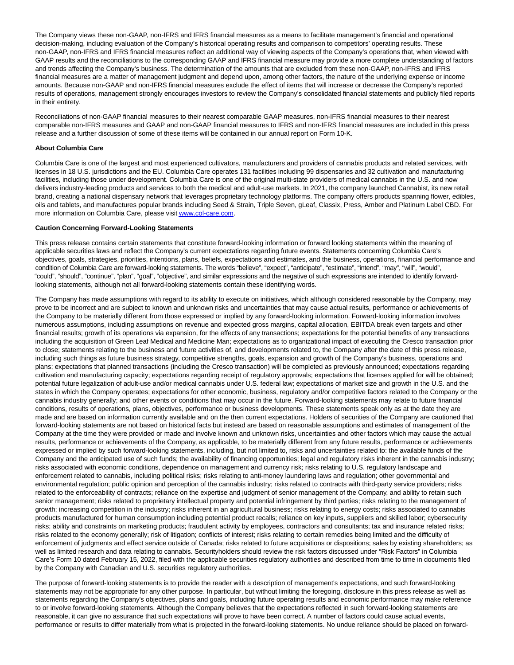The Company views these non-GAAP, non-IFRS and IFRS financial measures as a means to facilitate management's financial and operational decision-making, including evaluation of the Company's historical operating results and comparison to competitors' operating results. These non-GAAP, non-IFRS and IFRS financial measures reflect an additional way of viewing aspects of the Company's operations that, when viewed with GAAP results and the reconciliations to the corresponding GAAP and IFRS financial measure may provide a more complete understanding of factors and trends affecting the Company's business. The determination of the amounts that are excluded from these non-GAAP, non-IFRS and IFRS financial measures are a matter of management judgment and depend upon, among other factors, the nature of the underlying expense or income amounts. Because non-GAAP and non-IFRS financial measures exclude the effect of items that will increase or decrease the Company's reported results of operations, management strongly encourages investors to review the Company's consolidated financial statements and publicly filed reports in their entirety.

Reconciliations of non-GAAP financial measures to their nearest comparable GAAP measures, non-IFRS financial measures to their nearest comparable non-IFRS measures and GAAP and non-GAAP financial measures to IFRS and non-IFRS financial measures are included in this press release and a further discussion of some of these items will be contained in our annual report on Form 10-K.

#### **About Columbia Care**

Columbia Care is one of the largest and most experienced cultivators, manufacturers and providers of cannabis products and related services, with licenses in 18 U.S. jurisdictions and the EU. Columbia Care operates 131 facilities including 99 dispensaries and 32 cultivation and manufacturing facilities, including those under development. Columbia Care is one of the original multi-state providers of medical cannabis in the U.S. and now delivers industry-leading products and services to both the medical and adult-use markets. In 2021, the company launched Cannabist, its new retail brand, creating a national dispensary network that leverages proprietary technology platforms. The company offers products spanning flower, edibles, oils and tablets, and manufactures popular brands including Seed & Strain, Triple Seven, gLeaf, Classix, Press, Amber and Platinum Label CBD. For more information on Columbia Care, please visi[t www.col-care.com.](http://www.col-care.com/)

#### **Caution Concerning Forward-Looking Statements**

This press release contains certain statements that constitute forward-looking information or forward looking statements within the meaning of applicable securities laws and reflect the Company's current expectations regarding future events. Statements concerning Columbia Care's objectives, goals, strategies, priorities, intentions, plans, beliefs, expectations and estimates, and the business, operations, financial performance and condition of Columbia Care are forward-looking statements. The words "believe", "expect", "anticipate", "estimate", "intend", "may", "will", "would", "could", "should", "continue", "plan", "goal", "objective", and similar expressions and the negative of such expressions are intended to identify forwardlooking statements, although not all forward-looking statements contain these identifying words.

The Company has made assumptions with regard to its ability to execute on initiatives, which although considered reasonable by the Company, may prove to be incorrect and are subject to known and unknown risks and uncertainties that may cause actual results, performance or achievements of the Company to be materially different from those expressed or implied by any forward-looking information. Forward-looking information involves numerous assumptions, including assumptions on revenue and expected gross margins, capital allocation, EBITDA break even targets and other financial results; growth of its operations via expansion, for the effects of any transactions; expectations for the potential benefits of any transactions including the acquisition of Green Leaf Medical and Medicine Man; expectations as to organizational impact of executing the Cresco transaction prior to close; statements relating to the business and future activities of, and developments related to, the Company after the date of this press release, including such things as future business strategy, competitive strengths, goals, expansion and growth of the Company's business, operations and plans; expectations that planned transactions (including the Cresco transaction) will be completed as previously announced; expectations regarding cultivation and manufacturing capacity; expectations regarding receipt of regulatory approvals; expectations that licenses applied for will be obtained; potential future legalization of adult-use and/or medical cannabis under U.S. federal law; expectations of market size and growth in the U.S. and the states in which the Company operates; expectations for other economic, business, regulatory and/or competitive factors related to the Company or the cannabis industry generally; and other events or conditions that may occur in the future. Forward-looking statements may relate to future financial conditions, results of operations, plans, objectives, performance or business developments. These statements speak only as at the date they are made and are based on information currently available and on the then current expectations. Holders of securities of the Company are cautioned that forward-looking statements are not based on historical facts but instead are based on reasonable assumptions and estimates of management of the Company at the time they were provided or made and involve known and unknown risks, uncertainties and other factors which may cause the actual results, performance or achievements of the Company, as applicable, to be materially different from any future results, performance or achievements expressed or implied by such forward-looking statements, including, but not limited to, risks and uncertainties related to: the available funds of the Company and the anticipated use of such funds; the availability of financing opportunities; legal and regulatory risks inherent in the cannabis industry; risks associated with economic conditions, dependence on management and currency risk; risks relating to U.S. regulatory landscape and enforcement related to cannabis, including political risks; risks relating to anti-money laundering laws and regulation; other governmental and environmental regulation; public opinion and perception of the cannabis industry; risks related to contracts with third-party service providers; risks related to the enforceability of contracts; reliance on the expertise and judgment of senior management of the Company, and ability to retain such senior management; risks related to proprietary intellectual property and potential infringement by third parties; risks relating to the management of growth; increasing competition in the industry; risks inherent in an agricultural business; risks relating to energy costs; risks associated to cannabis products manufactured for human consumption including potential product recalls; reliance on key inputs, suppliers and skilled labor; cybersecurity risks; ability and constraints on marketing products; fraudulent activity by employees, contractors and consultants; tax and insurance related risks; risks related to the economy generally; risk of litigation; conflicts of interest; risks relating to certain remedies being limited and the difficulty of enforcement of judgments and effect service outside of Canada; risks related to future acquisitions or dispositions; sales by existing shareholders; as well as limited research and data relating to cannabis. Securityholders should review the risk factors discussed under "Risk Factors" in Columbia Care's Form 10 dated February 15, 2022, filed with the applicable securities regulatory authorities and described from time to time in documents filed by the Company with Canadian and U.S. securities regulatory authorities.

The purpose of forward-looking statements is to provide the reader with a description of management's expectations, and such forward-looking statements may not be appropriate for any other purpose. In particular, but without limiting the foregoing, disclosure in this press release as well as statements regarding the Company's objectives, plans and goals, including future operating results and economic performance may make reference to or involve forward-looking statements. Although the Company believes that the expectations reflected in such forward-looking statements are reasonable, it can give no assurance that such expectations will prove to have been correct. A number of factors could cause actual events, performance or results to differ materially from what is projected in the forward-looking statements. No undue reliance should be placed on forward-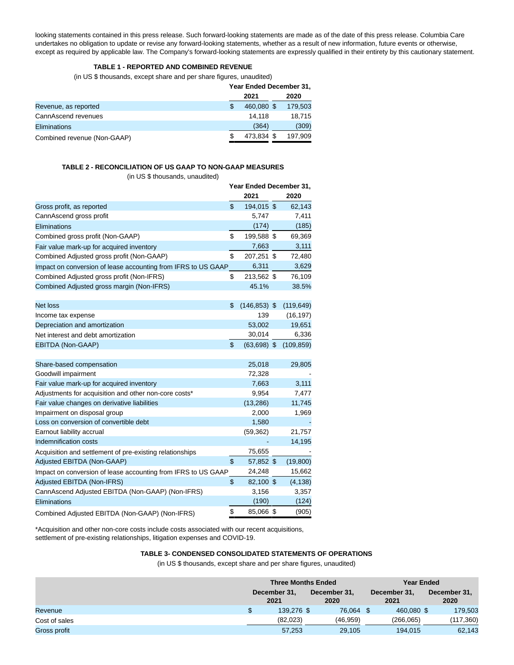looking statements contained in this press release. Such forward-looking statements are made as of the date of this press release. Columbia Care undertakes no obligation to update or revise any forward-looking statements, whether as a result of new information, future events or otherwise, except as required by applicable law. The Company's forward-looking statements are expressly qualified in their entirety by this cautionary statement.

# **TABLE 1 - REPORTED AND COMBINED REVENUE**

(in US \$ thousands, except share and per share figures, unaudited)

|                             | Year Ended December 31, |  |         |  |  |  |
|-----------------------------|-------------------------|--|---------|--|--|--|
|                             | 2021                    |  | 2020    |  |  |  |
| Revenue, as reported        | 460,080 \$              |  | 179.503 |  |  |  |
| CannAscend revenues         | 14.118                  |  | 18.715  |  |  |  |
| Eliminations                | (364)                   |  | (309)   |  |  |  |
| Combined revenue (Non-GAAP) | 473.834 \$              |  | 197.909 |  |  |  |

# **TABLE 2 - RECONCILIATION OF US GAAP TO NON-GAAP MEASURES**

(in US \$ thousands, unaudited)

|                                                               | Year Ended December 31, |            |
|---------------------------------------------------------------|-------------------------|------------|
|                                                               | 2021                    | 2020       |
| Gross profit, as reported                                     | \$<br>194,015 \$        | 62,143     |
| CannAscend gross profit                                       | 5,747                   | 7,411      |
| Eliminations                                                  | (174)                   | (185)      |
| Combined gross profit (Non-GAAP)                              | \$<br>199,588 \$        | 69,369     |
| Fair value mark-up for acquired inventory                     | 7,663                   | 3,111      |
| Combined Adjusted gross profit (Non-GAAP)                     | \$<br>207,251 \$        | 72,480     |
| Impact on conversion of lease accounting from IFRS to US GAAP | 6,311                   | 3,629      |
| Combined Adjusted gross profit (Non-IFRS)                     | \$<br>213,562 \$        | 76,109     |
| Combined Adjusted gross margin (Non-IFRS)                     | 45.1%                   | 38.5%      |
| <b>Net loss</b>                                               | \$<br>$(146, 853)$ \$   | (119, 649) |
| Income tax expense                                            | 139                     | (16, 197)  |
| Depreciation and amortization                                 | 53,002                  | 19,651     |
| Net interest and debt amortization                            | 30,014                  | 6,336      |
| EBITDA (Non-GAAP)                                             | \$<br>$(63, 698)$ \$    | (109, 859) |
| Share-based compensation                                      | 25,018                  | 29,805     |
| Goodwill impairment                                           | 72,328                  |            |
| Fair value mark-up for acquired inventory                     | 7,663                   | 3,111      |
| Adjustments for acquisition and other non-core costs*         | 9,954                   | 7,477      |
| Fair value changes on derivative liabilities                  | (13, 286)               | 11,745     |
| Impairment on disposal group                                  | 2,000                   | 1,969      |
| Loss on conversion of convertible debt                        | 1,580                   |            |
| Earnout liability accrual                                     | (59, 362)               | 21,757     |
| Indemnification costs                                         |                         | 14,195     |
| Acquisition and settlement of pre-existing relationships      | 75,655                  |            |
| Adjusted EBITDA (Non-GAAP)                                    | \$<br>57,852 \$         | (19, 800)  |
| Impact on conversion of lease accounting from IFRS to US GAAP | 24,248                  | 15,662     |
| Adjusted EBITDA (Non-IFRS)                                    | \$<br>82,100 \$         | (4, 138)   |
| CannAscend Adjusted EBITDA (Non-GAAP) (Non-IFRS)              | 3,156                   | 3,357      |
| Eliminations                                                  | (190)                   | (124)      |
| Combined Adjusted EBITDA (Non-GAAP) (Non-IFRS)                | \$<br>85,066 \$         | (905)      |

\*Acquisition and other non-core costs include costs associated with our recent acquisitions, settlement of pre-existing relationships, litigation expenses and COVID-19.

# **TABLE 3- CONDENSED CONSOLIDATED STATEMENTS OF OPERATIONS**

(in US \$ thousands, except share and per share figures, unaudited)

|               | <b>Three Months Ended</b> |                      | Year Ended           |                      |  |
|---------------|---------------------------|----------------------|----------------------|----------------------|--|
|               | December 31,<br>2021      | December 31,<br>2020 | December 31,<br>2021 | December 31,<br>2020 |  |
| Revenue       | \$<br>139.276 \$          | 76.064               | 460.080 \$           | 179,503              |  |
| Cost of sales | (82,023)                  | (46,959)             | (266, 065)           | (117, 360)           |  |
| Gross profit  | 57,253                    | 29,105               | 194.015              | 62,143               |  |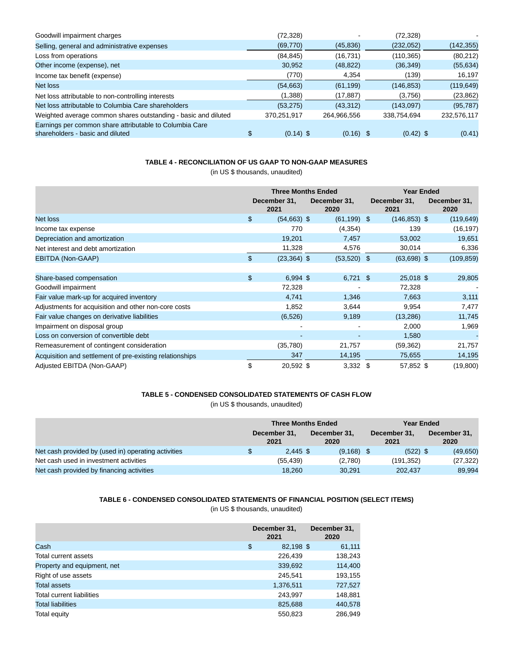| Goodwill impairment charges                                                                 | (72,328)          |             | (72, 328)   |             |
|---------------------------------------------------------------------------------------------|-------------------|-------------|-------------|-------------|
| Selling, general and administrative expenses                                                | (69, 770)         | (45, 836)   | (232, 052)  | (142, 355)  |
| Loss from operations                                                                        | (84, 845)         | (16, 731)   | (110, 365)  | (80,212)    |
| Other income (expense), net                                                                 | 30,952            | (48, 822)   | (36, 349)   | (55, 634)   |
| Income tax benefit (expense)                                                                | (770)             | 4,354       | (139)       | 16,197      |
| Net loss                                                                                    | (54,663)          | (61, 199)   | (146, 853)  | (119, 649)  |
| Net loss attributable to non-controlling interests                                          | (1,388)           | (17, 887)   | (3,756)     | (23, 862)   |
| Net loss attributable to Columbia Care shareholders                                         | (53, 275)         | (43, 312)   | (143,097)   | (95, 787)   |
| Weighted average common shares outstanding - basic and diluted                              | 370,251,917       | 264,966,556 | 338,754,694 | 232,576,117 |
| Earnings per common share attributable to Columbia Care<br>shareholders - basic and diluted | \$<br>$(0.14)$ \$ | $(0.16)$ \$ | $(0.42)$ \$ | (0.41)      |

# **TABLE 4 - RECONCILIATION OF US GAAP TO NON-GAAP MEASURES**

(in US \$ thousands, unaudited)

|                                                          |                | <b>Three Months Ended</b> | <b>Year Ended</b>    |                      |  |                      |
|----------------------------------------------------------|----------------|---------------------------|----------------------|----------------------|--|----------------------|
|                                                          |                | December 31,<br>2021      | December 31,<br>2020 | December 31,<br>2021 |  | December 31,<br>2020 |
| Net loss                                                 | $\frac{2}{3}$  | $(54,663)$ \$             | $(61, 199)$ \$       | $(146, 853)$ \$      |  | (119, 649)           |
| Income tax expense                                       |                | 770                       | (4,354)              | 139                  |  | (16, 197)            |
| Depreciation and amortization                            |                | 19,201                    | 7,457                | 53,002               |  | 19,651               |
| Net interest and debt amortization                       |                | 11,328                    | 4,576                | 30,014               |  | 6,336                |
| EBITDA (Non-GAAP)                                        | $\mathfrak{S}$ | $(23, 364)$ \$            | $(53,520)$ \$        | $(63, 698)$ \$       |  | (109, 859)           |
| Share-based compensation                                 | \$             | $6,994$ \$                | $6,721$ \$           | 25,018 \$            |  | 29,805               |
| Goodwill impairment                                      |                | 72,328                    |                      | 72,328               |  |                      |
| Fair value mark-up for acquired inventory                |                | 4,741                     | 1,346                | 7,663                |  | 3,111                |
| Adjustments for acquisition and other non-core costs     |                | 1,852                     | 3,644                | 9,954                |  | 7,477                |
| Fair value changes on derivative liabilities             |                | (6, 526)                  | 9,189                | (13, 286)            |  | 11,745               |
| Impairment on disposal group                             |                |                           | $\blacksquare$       | 2,000                |  | 1,969                |
| Loss on conversion of convertible debt                   |                |                           |                      | 1,580                |  |                      |
| Remeasurement of contingent consideration                |                | (35,780)                  | 21,757               | (59, 362)            |  | 21,757               |
| Acquisition and settlement of pre-existing relationships |                | 347                       | 14,195               | 75,655               |  | 14,195               |
| Adjusted EBITDA (Non-GAAP)                               | \$             | 20,592 \$                 | $3,332$ \$           | 57,852 \$            |  | (19, 800)            |

# **TABLE 5 - CONDENSED CONSOLIDATED STATEMENTS OF CASH FLOW**

(in US \$ thousands, unaudited)

|                                                     |                      | <b>Three Months Ended</b> |                      |  | Year Ended           |  |                      |  |
|-----------------------------------------------------|----------------------|---------------------------|----------------------|--|----------------------|--|----------------------|--|
|                                                     | December 31.<br>2021 |                           | December 31.<br>2020 |  | December 31.<br>2021 |  | December 31.<br>2020 |  |
| Net cash provided by (used in) operating activities | \$                   | $2.445$ \$                | (9.168)              |  | $(522)$ \$           |  | (49,650)             |  |
| Net cash used in investment activities              |                      | (55, 439)                 | (2,780)              |  | (191,352)            |  | (27, 322)            |  |
| Net cash provided by financing activities           |                      | 18.260                    | 30.291               |  | 202,437              |  | 89.994               |  |

# **TABLE 6 - CONDENSED CONSOLIDATED STATEMENTS OF FINANCIAL POSITION (SELECT ITEMS)**

(in US \$ thousands, unaudited)

|                                  | December 31,<br>2021 | December 31,<br>2020 |
|----------------------------------|----------------------|----------------------|
| Cash                             | \$                   | 82,198 \$<br>61,111  |
| Total current assets             |                      | 138,243<br>226,439   |
| Property and equipment, net      |                      | 114,400<br>339,692   |
| Right of use assets              | 245,541              | 193,155              |
| <b>Total assets</b>              | 1,376,511            | 727,527              |
| <b>Total current liabilities</b> |                      | 148,881<br>243,997   |
| <b>Total liabilities</b>         |                      | 440,578<br>825,688   |
| Total equity                     |                      | 286.949<br>550,823   |